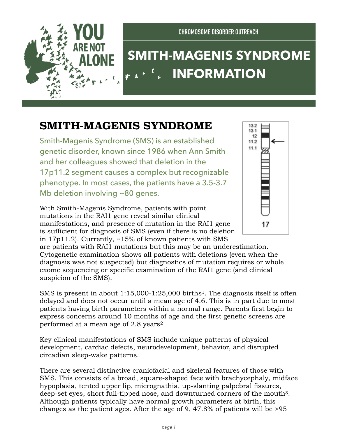

**CHROMOSOME DISORDER OUTREACH**

## **SMITH-MAGENIS SYNDROME INFORMATION**

## **SMITH-MAGENIS SYNDROME**

Smith-Magenis Syndrome (SMS) is an established genetic disorder, known since 1986 when Ann Smith and her colleagues showed that deletion in the 17p11.2 segment causes a complex but recognizable phenotype. In most cases, the patients have a 3.5-3.7 Mb deletion involving ~80 genes.

With Smith-Magenis Syndrome, patients with point mutations in the RAI1 gene reveal similar clinical manifestations, and presence of mutation in the RAI1 gene is sufficient for diagnosis of SMS (even if there is no deletion in 17p11.2). Currently, ~15% of known patients with SMS



are patients with RAI1 mutations but this may be an underestimation. Cytogenetic examination shows all patients with deletions (even when the diagnosis was not suspected) but diagnostics of mutation requires or whole exome sequencing or specific examination of the RAI1 gene (and clinical suspicion of the SMS).

SMS is present in about  $1:15,000-1:25,000$  births<sup>1</sup>. The diagnosis itself is often delayed and does not occur until a mean age of 4.6. This is in part due to most patients having birth parameters within a normal range. Parents first begin to express concerns around 10 months of age and the first genetic screens are performed at a mean age of 2.8 years2.

Key clinical manifestations of SMS include unique patterns of physical development, cardiac defects, neurodevelopment, behavior, and disrupted circadian sleep-wake patterns.

There are several distinctive craniofacial and skeletal features of those with SMS. This consists of a broad, square-shaped face with brachycephaly, midface hypoplasia, tented upper lip, micrognathia, up-slanting palpebral fissures, deep-set eyes, short full-tipped nose, and downturned corners of the mouth3. Although patients typically have normal growth parameters at birth, this changes as the patient ages. After the age of 9, 47.8% of patients will be >95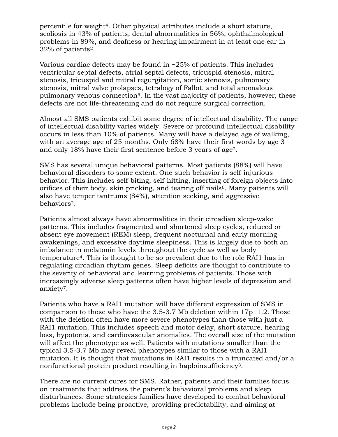percentile for weight4. Other physical attributes include a short stature, scoliosis in 43% of patients, dental abnormalities in 56%, ophthalmological problems in 89%, and deafness or hearing impairment in at least one ear in 32% of patients2.

Various cardiac defects may be found in  $\sim$ 25% of patients. This includes ventricular septal defects, atrial septal defects, tricuspid stenosis, mitral stenosis, tricuspid and mitral regurgitation, aortic stenosis, pulmonary stenosis, mitral valve prolapses, tetralogy of Fallot, and total anomalous pulmonary venous connection5. In the vast majority of patients, however, these defects are not life-threatening and do not require surgical correction.

Almost all SMS patients exhibit some degree of intellectual disability. The range of intellectual disability varies widely. Severe or profound intellectual disability occurs in less than 10% of patients. Many will have a delayed age of walking, with an average age of 25 months. Only 68% have their first words by age 3 and only 18% have their first sentence before 3 years of age2.

SMS has several unique behavioral patterns. Most patients (88%) will have behavioral disorders to some extent. One such behavior is self-injurious behavior. This includes self-biting, self-hitting, inserting of foreign objects into orifices of their body, skin pricking, and tearing off nails<sup>6</sup>. Many patients will also have temper tantrums (84%), attention seeking, and aggressive behaviors2.

Patients almost always have abnormalities in their circadian sleep-wake patterns. This includes fragmented and shortened sleep cycles, reduced or absent eye movement (REM) sleep, frequent nocturnal and early morning awakenings, and excessive daytime sleepiness. This is largely due to both an imbalance in melatonin levels throughout the cycle as well as body temperature4. This is thought to be so prevalent due to the role RAI1 has in regulating circadian rhythm genes. Sleep deficits are thought to contribute to the severity of behavioral and learning problems of patients. Those with increasingly adverse sleep patterns often have higher levels of depression and anxiety7.

Patients who have a RAI1 mutation will have different expression of SMS in comparison to those who have the 3.5-3.7 Mb deletion within 17p11.2. Those with the deletion often have more severe phenotypes than those with just a RAI1 mutation. This includes speech and motor delay, short stature, hearing loss, hypotonia, and cardiovascular anomalies. The overall size of the mutation will affect the phenotype as well. Patients with mutations smaller than the typical 3.5-3.7 Mb may reveal phenotypes similar to those with a RAI1 mutation. It is thought that mutations in RAI1 results in a truncated and/or a nonfunctional protein product resulting in haploinsufficiency3.

There are no current cures for SMS. Rather, patients and their families focus on treatments that address the patient's behavioral problems and sleep disturbances. Some strategies families have developed to combat behavioral problems include being proactive, providing predictability, and aiming at